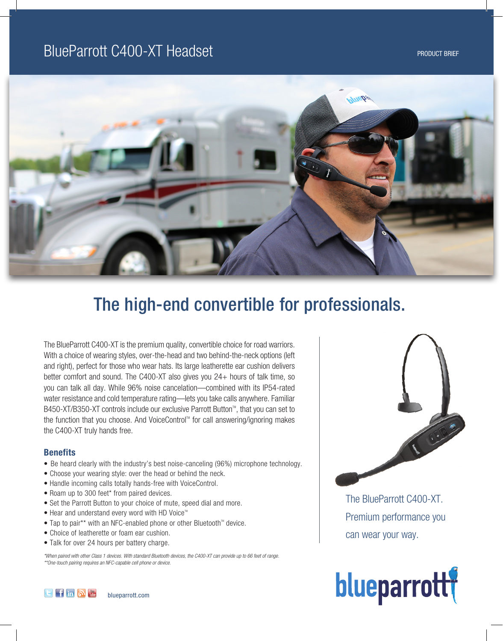

# The high-end convertible for professionals.

The BlueParrott C400-XT is the premium quality, convertible choice for road warriors. With a choice of wearing styles, over-the-head and two behind-the-neck options (left and right), perfect for those who wear hats. Its large leatherette ear cushion delivers better comfort and sound. The C400-XT also gives you 24+ hours of talk time, so you can talk all day. While 96% noise cancelation—combined with its IP54-rated water resistance and cold temperature rating—lets you take calls anywhere. Familiar B450-XT/B350-XT controls include our exclusive Parrott Button™, that you can set to the function that you choose. And VoiceControl™ for call answering/ignoring makes the C400-XT truly hands free.

# **Benefits**

- Be heard clearly with the industry's best noise-canceling (96%) microphone technology.
- Choose your wearing style: over the head or behind the neck.
- Handle incoming calls totally hands-free with VoiceControl.
- Roam up to 300 feet\* from paired devices.
- Set the Parrott Button to your choice of mute, speed dial and more.
- $\bullet$  Hear and understand every word with HD Voice<sup>tM</sup>
- Tap to pair\*\* with an NFC-enabled phone or other Bluetooth<sup> $M$ </sup> device.
- Choice of leatherette or foam ear cushion.
- Talk for over 24 hours per battery charge.

*\*When paired with other Class 1 devices. With standard Bluetooth devices, the C400-XT can provide up to 66 feet of range. \*\*One-touch pairing requires an NFC-capable cell phone or device.*



The BlueParrott C400-XT. Premium performance you can wear your way.